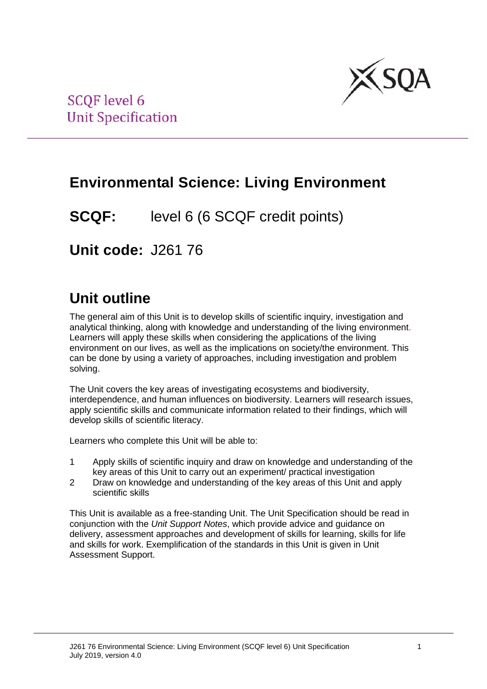

# **Environmental Science: Living Environment**

**SCQF:** level 6 (6 SCQF credit points)

**Unit code:** J261 76

# **Unit outline**

The general aim of this Unit is to develop skills of scientific inquiry, investigation and analytical thinking, along with knowledge and understanding of the living environment. Learners will apply these skills when considering the applications of the living environment on our lives, as well as the implications on society/the environment. This can be done by using a variety of approaches, including investigation and problem solving.

The Unit covers the key areas of investigating ecosystems and biodiversity, interdependence, and human influences on biodiversity. Learners will research issues, apply scientific skills and communicate information related to their findings, which will develop skills of scientific literacy.

Learners who complete this Unit will be able to:

- 1 Apply skills of scientific inquiry and draw on knowledge and understanding of the key areas of this Unit to carry out an experiment/ practical investigation
- 2 Draw on knowledge and understanding of the key areas of this Unit and apply scientific skills

This Unit is available as a free-standing Unit. The Unit Specification should be read in conjunction with the *Unit Support Notes*, which provide advice and guidance on delivery, assessment approaches and development of skills for learning, skills for life and skills for work. Exemplification of the standards in this Unit is given in Unit Assessment Support.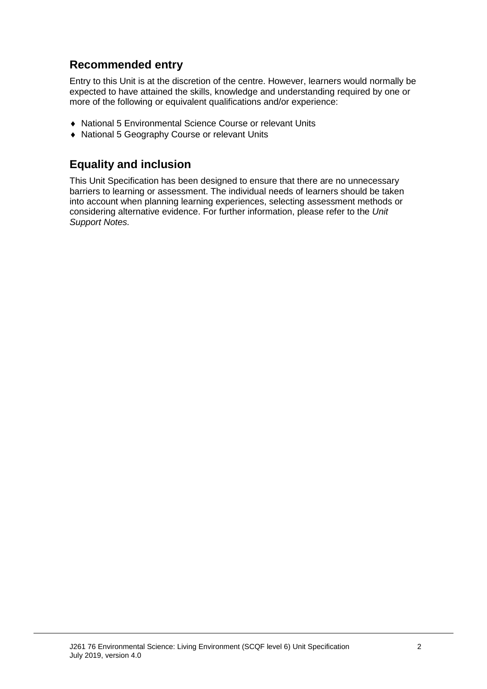## **Recommended entry**

Entry to this Unit is at the discretion of the centre. However, learners would normally be expected to have attained the skills, knowledge and understanding required by one or more of the following or equivalent qualifications and/or experience:

- ♦ National 5 Environmental Science Course or relevant Units
- ♦ National 5 Geography Course or relevant Units

## **Equality and inclusion**

This Unit Specification has been designed to ensure that there are no unnecessary barriers to learning or assessment. The individual needs of learners should be taken into account when planning learning experiences, selecting assessment methods or considering alternative evidence. For further information, please refer to the *Unit Support Notes.*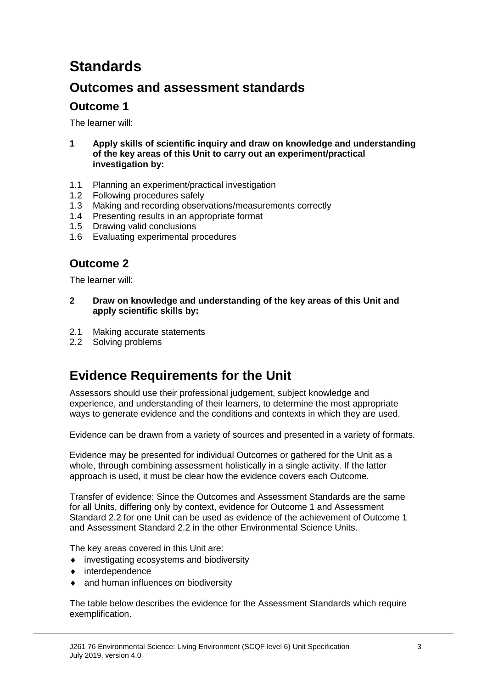# **Standards**

## **Outcomes and assessment standards**

### **Outcome 1**

The learner will:

- **1 Apply skills of scientific inquiry and draw on knowledge and understanding of the key areas of this Unit to carry out an experiment/practical investigation by:**
- 1.1 Planning an experiment/practical investigation
- 1.2 Following procedures safely
- 1.3 Making and recording observations/measurements correctly
- 1.4 Presenting results in an appropriate format
- 1.5 Drawing valid conclusions
- 1.6 Evaluating experimental procedures

### **Outcome 2**

The learner will:

- **2 Draw on knowledge and understanding of the key areas of this Unit and apply scientific skills by:**
- 2.1 Making accurate statements
- 2.2 Solving problems

## **Evidence Requirements for the Unit**

Assessors should use their professional judgement, subject knowledge and experience, and understanding of their learners, to determine the most appropriate ways to generate evidence and the conditions and contexts in which they are used.

Evidence can be drawn from a variety of sources and presented in a variety of formats.

Evidence may be presented for individual Outcomes or gathered for the Unit as a whole, through combining assessment holistically in a single activity. If the latter approach is used, it must be clear how the evidence covers each Outcome.

Transfer of evidence: Since the Outcomes and Assessment Standards are the same for all Units, differing only by context, evidence for Outcome 1 and Assessment Standard 2.2 for one Unit can be used as evidence of the achievement of Outcome 1 and Assessment Standard 2.2 in the other Environmental Science Units.

The key areas covered in this Unit are:

- ♦ investigating ecosystems and biodiversity
- ♦ interdependence
- ♦ and human influences on biodiversity

The table below describes the evidence for the Assessment Standards which require exemplification.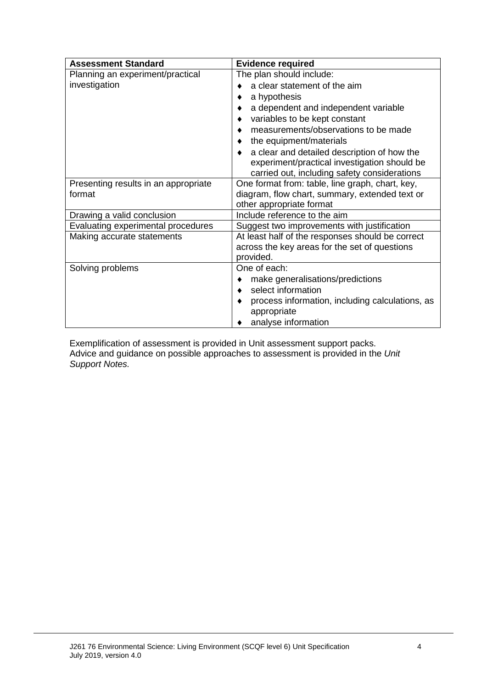| <b>Assessment Standard</b>           | <b>Evidence required</b>                             |  |  |
|--------------------------------------|------------------------------------------------------|--|--|
| Planning an experiment/practical     | The plan should include:                             |  |  |
| investigation                        | a clear statement of the aim                         |  |  |
|                                      | a hypothesis                                         |  |  |
|                                      | a dependent and independent variable<br>٠            |  |  |
|                                      | variables to be kept constant<br>٠                   |  |  |
|                                      | measurements/observations to be made                 |  |  |
|                                      | the equipment/materials                              |  |  |
|                                      | a clear and detailed description of how the          |  |  |
|                                      | experiment/practical investigation should be         |  |  |
|                                      | carried out, including safety considerations         |  |  |
| Presenting results in an appropriate | One format from: table, line graph, chart, key,      |  |  |
| format                               | diagram, flow chart, summary, extended text or       |  |  |
|                                      | other appropriate format                             |  |  |
| Drawing a valid conclusion           | Include reference to the aim                         |  |  |
| Evaluating experimental procedures   | Suggest two improvements with justification          |  |  |
| Making accurate statements           | At least half of the responses should be correct     |  |  |
|                                      | across the key areas for the set of questions        |  |  |
|                                      | provided.                                            |  |  |
| Solving problems                     | One of each:                                         |  |  |
|                                      | make generalisations/predictions<br>٠                |  |  |
|                                      | select information<br>$\bullet$                      |  |  |
|                                      | process information, including calculations, as<br>٠ |  |  |
|                                      | appropriate                                          |  |  |
|                                      | analyse information                                  |  |  |

Exemplification of assessment is provided in Unit assessment support packs. Advice and guidance on possible approaches to assessment is provided in the *Unit Support Notes.*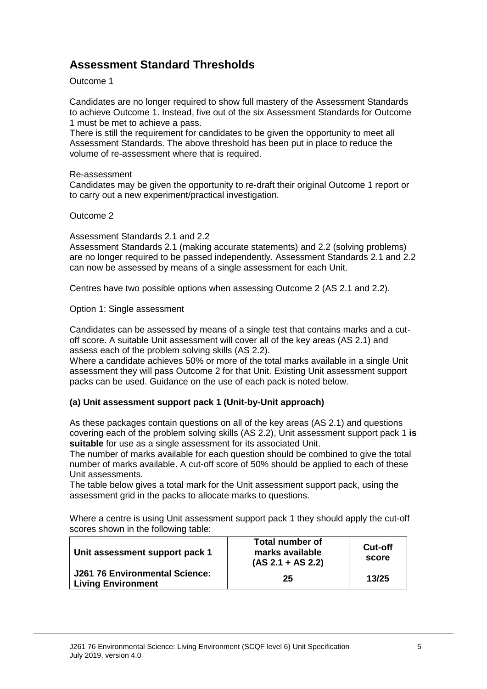## **Assessment Standard Thresholds**

#### Outcome 1

Candidates are no longer required to show full mastery of the Assessment Standards to achieve Outcome 1. Instead, five out of the six Assessment Standards for Outcome 1 must be met to achieve a pass.

There is still the requirement for candidates to be given the opportunity to meet all Assessment Standards. The above threshold has been put in place to reduce the volume of re-assessment where that is required.

#### Re-assessment

Candidates may be given the opportunity to re-draft their original Outcome 1 report or to carry out a new experiment/practical investigation.

#### Outcome 2

Assessment Standards 2.1 and 2.2

Assessment Standards 2.1 (making accurate statements) and 2.2 (solving problems) are no longer required to be passed independently. Assessment Standards 2.1 and 2.2 can now be assessed by means of a single assessment for each Unit.

Centres have two possible options when assessing Outcome 2 (AS 2.1 and 2.2).

Option 1: Single assessment

Candidates can be assessed by means of a single test that contains marks and a cutoff score. A suitable Unit assessment will cover all of the key areas (AS 2.1) and assess each of the problem solving skills (AS 2.2).

Where a candidate achieves 50% or more of the total marks available in a single Unit assessment they will pass Outcome 2 for that Unit. Existing Unit assessment support packs can be used. Guidance on the use of each pack is noted below.

#### **(a) Unit assessment support pack 1 (Unit-by-Unit approach)**

As these packages contain questions on all of the key areas (AS 2.1) and questions covering each of the problem solving skills (AS 2.2), Unit assessment support pack 1 **is suitable** for use as a single assessment for its associated Unit.

The number of marks available for each question should be combined to give the total number of marks available. A cut-off score of 50% should be applied to each of these Unit assessments.

The table below gives a total mark for the Unit assessment support pack, using the assessment grid in the packs to allocate marks to questions.

Where a centre is using Unit assessment support pack 1 they should apply the cut-off scores shown in the following table:

| Unit assessment support pack 1                              | <b>Total number of</b><br>marks available<br>$(AS 2.1 + AS 2.2)$ | Cut-off<br>score |
|-------------------------------------------------------------|------------------------------------------------------------------|------------------|
| J261 76 Environmental Science:<br><b>Living Environment</b> | 25                                                               | 13/25            |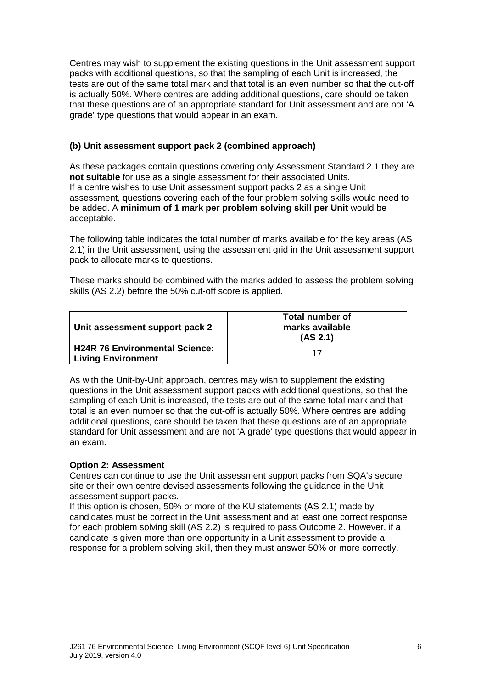Centres may wish to supplement the existing questions in the Unit assessment support packs with additional questions, so that the sampling of each Unit is increased, the tests are out of the same total mark and that total is an even number so that the cut-off is actually 50%. Where centres are adding additional questions, care should be taken that these questions are of an appropriate standard for Unit assessment and are not 'A grade' type questions that would appear in an exam.

#### **(b) Unit assessment support pack 2 (combined approach)**

As these packages contain questions covering only Assessment Standard 2.1 they are **not suitable** for use as a single assessment for their associated Units. If a centre wishes to use Unit assessment support packs 2 as a single Unit assessment, questions covering each of the four problem solving skills would need to be added. A **minimum of 1 mark per problem solving skill per Unit** would be acceptable.

The following table indicates the total number of marks available for the key areas (AS 2.1) in the Unit assessment, using the assessment grid in the Unit assessment support pack to allocate marks to questions.

These marks should be combined with the marks added to assess the problem solving skills (AS 2.2) before the 50% cut-off score is applied.

| Unit assessment support pack 2                              | Total number of<br>marks available<br>(AS 2.1) |
|-------------------------------------------------------------|------------------------------------------------|
| H24R 76 Environmental Science:<br><b>Living Environment</b> | 17                                             |

As with the Unit-by-Unit approach, centres may wish to supplement the existing questions in the Unit assessment support packs with additional questions, so that the sampling of each Unit is increased, the tests are out of the same total mark and that total is an even number so that the cut-off is actually 50%. Where centres are adding additional questions, care should be taken that these questions are of an appropriate standard for Unit assessment and are not 'A grade' type questions that would appear in an exam.

#### **Option 2: Assessment**

Centres can continue to use the Unit assessment support packs from SQA's secure site or their own centre devised assessments following the guidance in the Unit assessment support packs.

If this option is chosen, 50% or more of the KU statements (AS 2.1) made by candidates must be correct in the Unit assessment and at least one correct response for each problem solving skill (AS 2.2) is required to pass Outcome 2. However, if a candidate is given more than one opportunity in a Unit assessment to provide a response for a problem solving skill, then they must answer 50% or more correctly.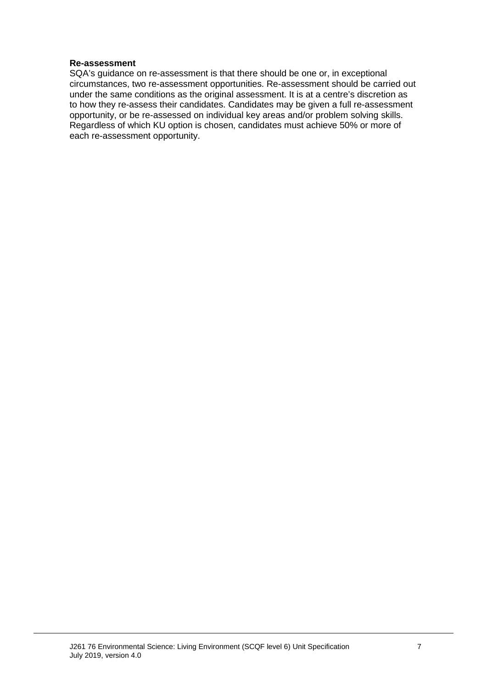#### **Re-assessment**

SQA's guidance on re-assessment is that there should be one or, in exceptional circumstances, two re-assessment opportunities. Re-assessment should be carried out under the same conditions as the original assessment. It is at a centre's discretion as to how they re-assess their candidates. Candidates may be given a full re-assessment opportunity, or be re-assessed on individual key areas and/or problem solving skills. Regardless of which KU option is chosen, candidates must achieve 50% or more of each re-assessment opportunity.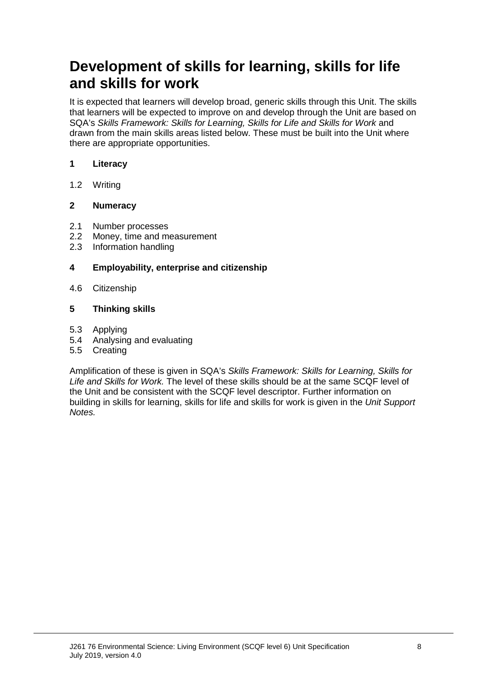# **Development of skills for learning, skills for life and skills for work**

It is expected that learners will develop broad, generic skills through this Unit. The skills that learners will be expected to improve on and develop through the Unit are based on SQA's *Skills Framework: Skills for Learning, Skills for Life and Skills for Work* and drawn from the main skills areas listed below. These must be built into the Unit where there are appropriate opportunities.

#### **1 Literacy**

1.2 Writing

#### **2 Numeracy**

- 2.1 Number processes
- 2.2 Money, time and measurement<br>2.3 Information handling
- Information handling

#### **4 Employability, enterprise and citizenship**

4.6 Citizenship

#### **5 Thinking skills**

- 5.3 Applying
- 5.4 Analysing and evaluating
- 5.5 Creating

Amplification of these is given in SQA's *Skills Framework: Skills for Learning, Skills for Life and Skills for Work.* The level of these skills should be at the same SCQF level of the Unit and be consistent with the SCQF level descriptor. Further information on building in skills for learning, skills for life and skills for work is given in the *Unit Support Notes.*